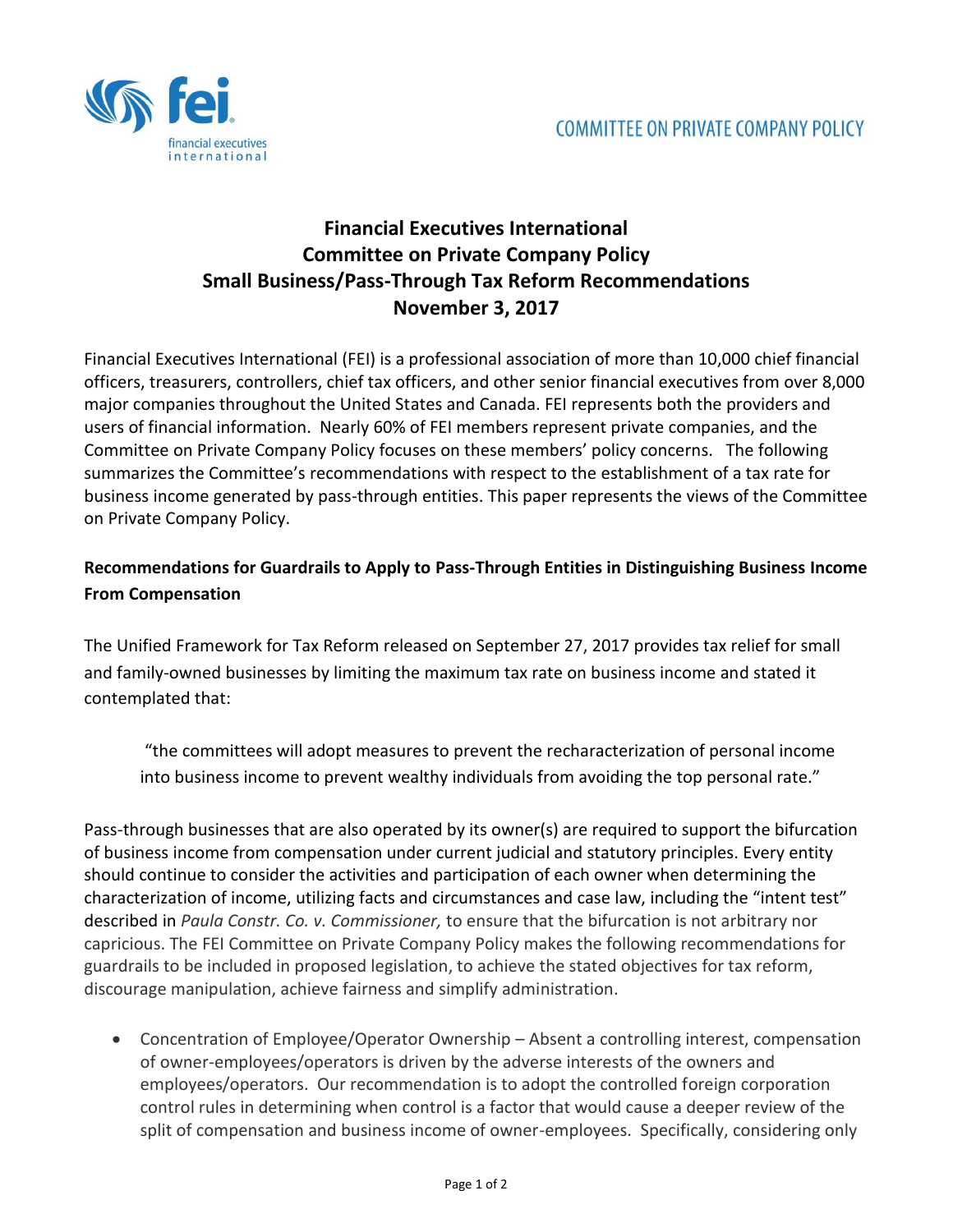

## **Financial Executives International Committee on Private Company Policy Small Business/Pass-Through Tax Reform Recommendations November 3, 2017**

Financial Executives International (FEI) is a professional association of more than 10,000 chief financial officers, treasurers, controllers, chief tax officers, and other senior financial executives from over 8,000 major companies throughout the United States and Canada. FEI represents both the providers and users of financial information. Nearly 60% of FEI members represent private companies, and the Committee on Private Company Policy focuses on these members' policy concerns. The following summarizes the Committee's recommendations with respect to the establishment of a tax rate for business income generated by pass-through entities. This paper represents the views of the Committee on Private Company Policy.

## **Recommendations for Guardrails to Apply to Pass-Through Entities in Distinguishing Business Income From Compensation**

The Unified Framework for Tax Reform released on September 27, 2017 provides tax relief for small and family-owned businesses by limiting the maximum tax rate on business income and stated it contemplated that:

"the committees will adopt measures to prevent the recharacterization of personal income into business income to prevent wealthy individuals from avoiding the top personal rate."

Pass-through businesses that are also operated by its owner(s) are required to support the bifurcation of business income from compensation under current judicial and statutory principles. Every entity should continue to consider the activities and participation of each owner when determining the characterization of income, utilizing facts and circumstances and case law, including the "intent test" described in *Paula Constr. Co. v. Commissioner,* to ensure that the bifurcation is not arbitrary nor capricious. The FEI Committee on Private Company Policy makes the following recommendations for guardrails to be included in proposed legislation, to achieve the stated objectives for tax reform, discourage manipulation, achieve fairness and simplify administration.

 Concentration of Employee/Operator Ownership – Absent a controlling interest, compensation of owner-employees/operators is driven by the adverse interests of the owners and employees/operators. Our recommendation is to adopt the controlled foreign corporation control rules in determining when control is a factor that would cause a deeper review of the split of compensation and business income of owner-employees. Specifically, considering only